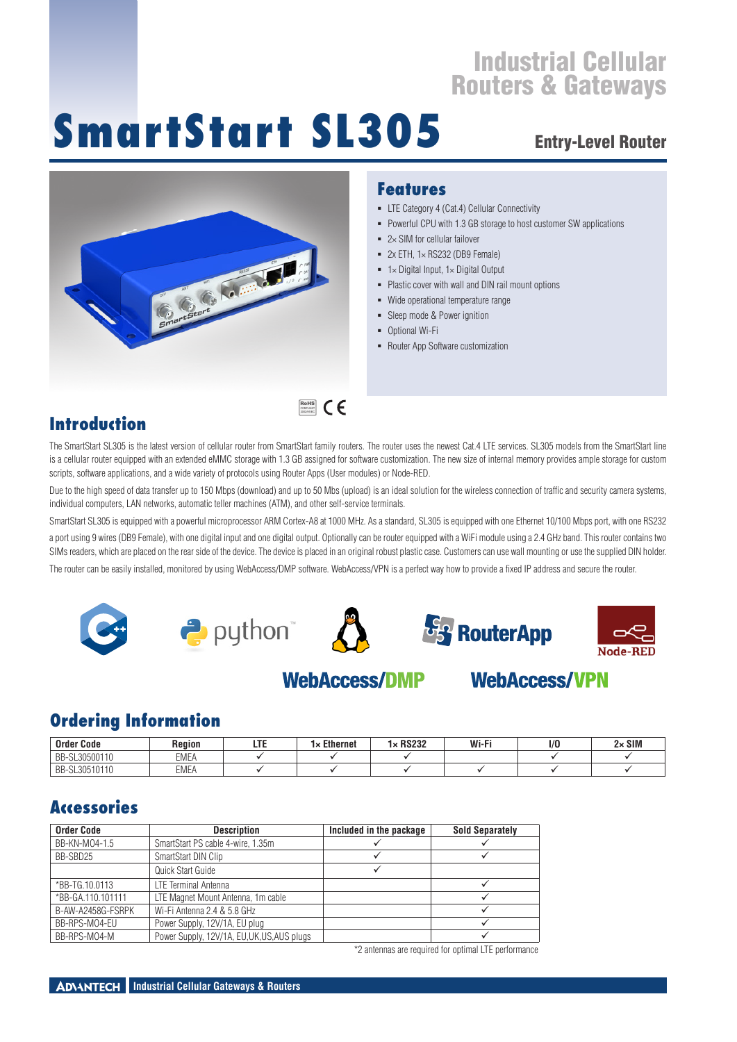# **SmartStart SL305**

## Entry-Level Router



#### **Features**

- **E** LTE Category 4 (Cat.4) Cellular Connectivity
- Powerful CPU with 1.3 GB storage to host customer SW applications
- $= 2 \times$  SIM for cellular failover
- $= 2x$  FTH,  $1 \times$  RS232 (DB9 Female)
- $\blacksquare$  1× Digital Input, 1× Digital Output
- **Plastic cover with wall and DIN rail mount options**
- Wide operational temperature range
- Sleep mode & Power ignition
- Optional Wi-Fi
- Router App Software customization

#### **Introduction**

The SmartStart SL305 is the latest version of cellular router from SmartStart family routers. The router uses the newest Cat.4 LTE services. SL305 models from the SmartStart line is a cellular router equipped with an extended eMMC storage with 1.3 GB assigned for software customization. The new size of internal memory provides ample storage for custom scripts, software applications, and a wide variety of protocols using Router Apps (User modules) or Node-RED.

Due to the high speed of data transfer up to 150 Mbps (download) and up to 50 Mbs (upload) is an ideal solution for the wireless connection of traffic and security camera systems, individual computers, LAN networks, automatic teller machines (ATM), and other self-service terminals.

SmartStart SL305 is equipped with a powerful microprocessor ARM Cortex-A8 at 1000 MHz. As a standard, SL305 is equipped with one Ethernet 10/100 Mbps port, with one RS232 a port using 9 wires (DB9 Female), with one digital input and one digital output. Optionally can be router equipped with a WiFi module using a 2.4 GHz band. This router contains two SIMs readers, which are placed on the rear side of the device. The device is placed in an original robust plastic case. Customers can use wall mounting or use the supplied DIN holder. The router can be easily installed, monitored by using WebAccess/DMP software. WebAccess/VPN is a perfect way how to provide a fixed IP address and secure the router.



## **WebAccess/DMP**



## **Ordering Information**

| <b>Order Code</b>  | Reaion               | Ethernet<br>مە<br>ָ | <b>DCOOO</b><br>nozoz | Wi-Fi | 1/0 | $2 \times$ SIM |
|--------------------|----------------------|---------------------|-----------------------|-------|-----|----------------|
| -SL30500110<br>BB- | <b>FRAFI</b><br>∟MEA |                     |                       |       |     |                |
| BB-<br>SL30510110  | <b>EMEA</b>          |                     |                       |       |     |                |

## **Accessories**

| <b>Order Code</b> | <b>Description</b>                          | Included in the package | <b>Sold Separately</b> |
|-------------------|---------------------------------------------|-------------------------|------------------------|
| BB-KN-M04-1.5     | SmartStart PS cable 4-wire, 1.35m           |                         |                        |
| BB-SBD25          | SmartStart DIN Clip                         |                         |                        |
|                   | Quick Start Guide                           |                         |                        |
| *BB-TG.10.0113    | LTE Terminal Antenna                        |                         |                        |
| *BB-GA.110.101111 | LTE Magnet Mount Antenna, 1m cable          |                         |                        |
| B-AW-A2458G-FSRPK | Wi-Fi Antenna 2.4 & 5.8 GHz                 |                         |                        |
| BB-RPS-M04-EU     | Power Supply, 12V/1A, EU plug               |                         |                        |
| BB-RPS-M04-M      | Power Supply, 12V/1A, EU, UK, US, AUS plugs |                         |                        |

\*2 antennas are required for optimal LTE performance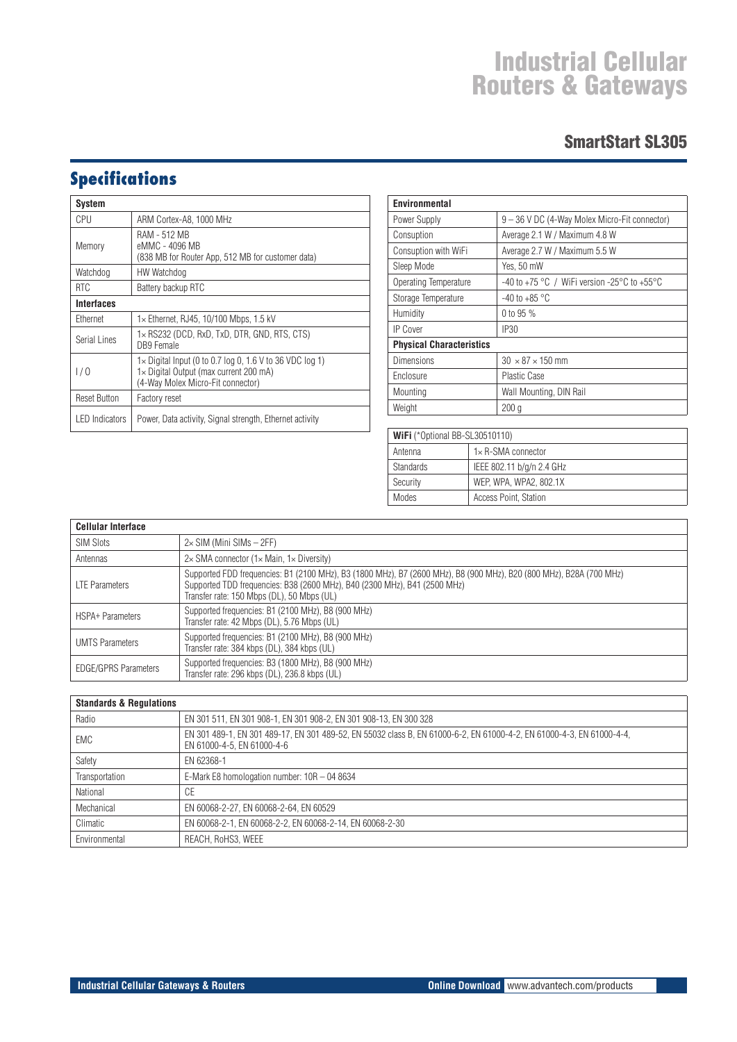#### SmartStart SL305

## **Specifications**

| System                |                                                                                                                                                         |
|-----------------------|---------------------------------------------------------------------------------------------------------------------------------------------------------|
| CPU                   | ARM Cortex-A8, 1000 MHz                                                                                                                                 |
| Memory                | RAM - 512 MB<br>eMMC - 4096 MB<br>(838 MB for Router App, 512 MB for customer data)                                                                     |
| Watchdog              | HW Watchdog                                                                                                                                             |
| <b>RTC</b>            | Battery backup RTC                                                                                                                                      |
| <b>Interfaces</b>     |                                                                                                                                                         |
| Ethernet              | 1x Ethernet, RJ45, 10/100 Mbps, 1.5 kV                                                                                                                  |
| Serial Lines          | $1\times$ RS232 (DCD, RxD, TxD, DTR, GND, RTS, CTS)<br>DB9 Female                                                                                       |
| 1/0                   | $1 \times$ Digital Input (0 to 0.7 log 0, 1.6 V to 36 VDC log 1)<br>$1 \times$ Digital Output (max current 200 mA)<br>(4-Way Molex Micro-Fit connector) |
| <b>Reset Button</b>   | Factory reset                                                                                                                                           |
| <b>LED</b> Indicators | Power, Data activity, Signal strength, Ethernet activity                                                                                                |

| Environmental                   |                                               |
|---------------------------------|-----------------------------------------------|
| Power Supply                    | 9 - 36 V DC (4-Way Molex Micro-Fit connector) |
| Consuption                      | Average 2.1 W / Maximum 4.8 W                 |
| Consuption with WiFi            | Average 2.7 W / Maximum 5.5 W                 |
| Sleep Mode                      | Yes, 50 mW                                    |
| Operating Temperature           | -40 to +75 °C / WiFi version -25°C to +55°C   |
| Storage Temperature             | $-40$ to $+85$ °C                             |
| Humidity                        | 0 to 95 %                                     |
| IP Cover                        | <b>IP30</b>                                   |
| <b>Physical Characteristics</b> |                                               |
| <b>Dimensions</b>               | $30 \times 87 \times 150$ mm                  |
| Enclosure                       | <b>Plastic Case</b>                           |
| Mounting                        | Wall Mounting, DIN Rail                       |
| Weight                          | 200q                                          |

| WIFI (*Optional BB-SL30510110) |                             |  |
|--------------------------------|-----------------------------|--|
| Antenna                        | $1 \times R$ -SMA connector |  |
| <b>Standards</b>               | IEEE 802.11 b/g/n 2.4 GHz   |  |
| Security                       | WEP, WPA, WPA2, 802.1X      |  |
| Modes                          | Access Point, Station       |  |

| <b>Cellular Interface</b>   |                                                                                                                                                                                                                                                |  |
|-----------------------------|------------------------------------------------------------------------------------------------------------------------------------------------------------------------------------------------------------------------------------------------|--|
| <b>SIM Slots</b>            | $2\times$ SIM (Mini SIMs $-$ 2FF)                                                                                                                                                                                                              |  |
| Antennas                    | $2\times$ SMA connector (1 $\times$ Main, 1 $\times$ Diversity)                                                                                                                                                                                |  |
| <b>LTE Parameters</b>       | Supported FDD frequencies: B1 (2100 MHz), B3 (1800 MHz), B7 (2600 MHz), B8 (900 MHz), B20 (800 MHz), B28A (700 MHz)<br>Supported TDD frequencies: B38 (2600 MHz), B40 (2300 MHz), B41 (2500 MHz)<br>Transfer rate: 150 Mbps (DL), 50 Mbps (UL) |  |
| <b>HSPA+ Parameters</b>     | Supported frequencies: B1 (2100 MHz), B8 (900 MHz)<br>Transfer rate: 42 Mbps (DL), 5.76 Mbps (UL)                                                                                                                                              |  |
| <b>UMTS Parameters</b>      | Supported frequencies: B1 (2100 MHz), B8 (900 MHz)<br>Transfer rate: 384 kbps (DL), 384 kbps (UL)                                                                                                                                              |  |
| <b>EDGE/GPRS Parameters</b> | Supported frequencies: B3 (1800 MHz), B8 (900 MHz)<br>Transfer rate: 296 kbps (DL), 236.8 kbps (UL)                                                                                                                                            |  |

| <b>Standards &amp; Requiations</b> |                                                                                                                                                     |  |
|------------------------------------|-----------------------------------------------------------------------------------------------------------------------------------------------------|--|
| Radio                              | EN 301 511, EN 301 908-1, EN 301 908-2, EN 301 908-13, EN 300 328                                                                                   |  |
| <b>EMC</b>                         | EN 301 489-1, EN 301 489-17, EN 301 489-52, EN 55032 class B, EN 61000-6-2, EN 61000-4-2, EN 61000-4-3, EN 61000-4-4,<br>EN 61000-4-5, EN 61000-4-6 |  |
| Safety                             | EN 62368-1                                                                                                                                          |  |
| Transportation                     | E-Mark E8 homologation number: 10R - 04 8634                                                                                                        |  |
| National                           | СE                                                                                                                                                  |  |
| Mechanical                         | EN 60068-2-27, EN 60068-2-64, EN 60529                                                                                                              |  |
| Climatic                           | EN 60068-2-1, EN 60068-2-2, EN 60068-2-14, EN 60068-2-30                                                                                            |  |
| Environmental                      | REACH. RoHS3. WEEE                                                                                                                                  |  |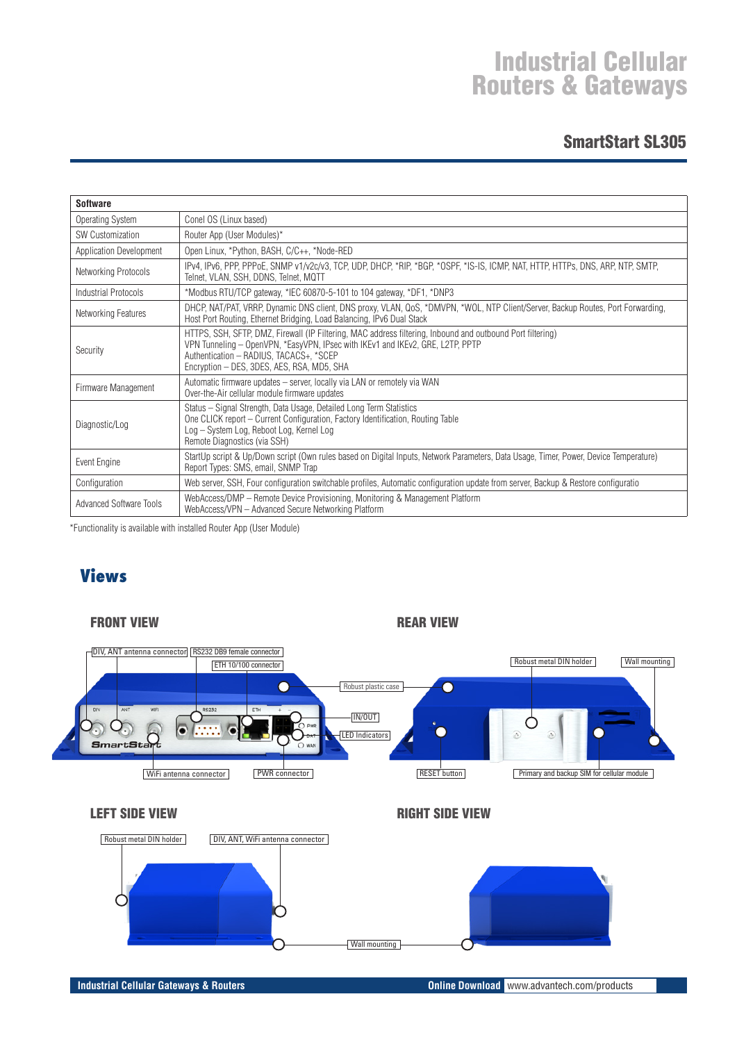#### SmartStart SL305

| <b>Software</b>         |                                                                                                                                                                                                                                                                                       |
|-------------------------|---------------------------------------------------------------------------------------------------------------------------------------------------------------------------------------------------------------------------------------------------------------------------------------|
| Operating System        | Conel OS (Linux based)                                                                                                                                                                                                                                                                |
| <b>SW Customization</b> | Router App (User Modules)*                                                                                                                                                                                                                                                            |
| Application Development | Open Linux, *Python, BASH, C/C++, *Node-RED                                                                                                                                                                                                                                           |
| Networking Protocols    | IPv4, IPv6, PPP, PPPoE, SNMP v1/v2c/v3, TCP, UDP, DHCP, *RIP, *BGP, *OSPF, *IS-IS, ICMP, NAT, HTTP, HTTPs, DNS, ARP, NTP, SMTP,<br>Telnet, VLAN, SSH, DDNS, Telnet, MQTT                                                                                                              |
| Industrial Protocols    | *Modbus RTU/TCP gateway, *IEC 60870-5-101 to 104 gateway, *DF1, *DNP3                                                                                                                                                                                                                 |
| Networking Features     | DHCP, NAT/PAT, VRRP, Dynamic DNS client, DNS proxy, VLAN, QoS, *DMVPN, *WOL, NTP Client/Server, Backup Routes, Port Forwarding,<br>Host Port Routing, Ethernet Bridging, Load Balancing, IPv6 Dual Stack                                                                              |
| Security                | HTTPS, SSH, SFTP, DMZ, Firewall (IP Filtering, MAC address filtering, Inbound and outbound Port filtering)<br>VPN Tunneling – OpenVPN, *EasyVPN, IPsec with IKEv1 and IKEv2, GRE, L2TP, PPTP<br>Authentication - RADIUS, TACACS+, *SCEP<br>Encryption - DES, 3DES, AES, RSA, MD5, SHA |
| Firmware Management     | Automatic firmware updates - server, locally via LAN or remotely via WAN<br>Over-the-Air cellular module firmware updates                                                                                                                                                             |
| Diagnostic/Log          | Status - Signal Strength, Data Usage, Detailed Long Term Statistics<br>One CLICK report – Current Configuration, Factory Identification, Routing Table<br>Log - System Log, Reboot Log, Kernel Log<br>Remote Diagnostics (via SSH)                                                    |
| Event Engine            | StartUp script & Up/Down script (Own rules based on Digital Inputs, Network Parameters, Data Usage, Timer, Power, Device Temperature)<br>Report Types: SMS, email, SNMP Trap                                                                                                          |
| Configuration           | Web server, SSH, Four configuration switchable profiles, Automatic configuration update from server, Backup & Restore configuratio                                                                                                                                                    |
| Advanced Software Tools | WebAccess/DMP - Remote Device Provisioning, Monitoring & Management Platform<br>WebAccess/VPN - Advanced Secure Networking Platform                                                                                                                                                   |

\*Functionality is available with installed Router App (User Module)

## **Views**

FRONT VIEW **REAR VIEW REAR VIEW**